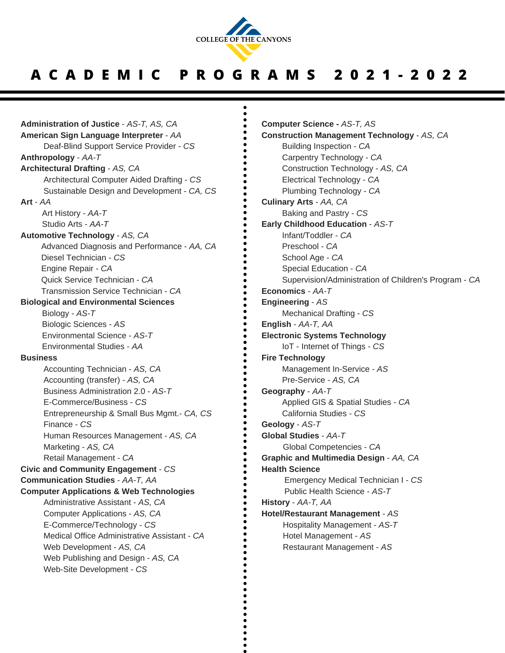

## **A C A D E M I C P R O G R A M S 2 0 2 1 - 2 0 2 2**

**Administration of Justice** - *AS-T, AS, CA* **American Sign Language Interpreter** - *AA* Deaf-Blind Support Service Provider - *CS* **Anthropology** - *AA-T* **Architectural Drafting** - *AS, CA* Architectural Computer Aided Drafting - *CS* Sustainable Design and Development - *CA, CS* **Art** - *AA* Art History - *AA-T* Studio Arts - *AA-T* **Automotive Technology** - *AS, CA* Advanced Diagnosis and Performance - *AA, CA* Diesel Technician - *CS* Engine Repair - *CA* Quick Service Technician - *CA* Transmission Service Technician - *CA* **Biological and Environmental Sciences** Biology - *AS-T* Biologic Sciences - *AS* Environmental Science - *AS-T* Environmental Studies - *AA* **Business** Accounting Technician - *AS, CA* Accounting (transfer) - *AS, CA* Business Administration 2.0 - *AS-T* E-Commerce/Business - *CS* Entrepreneurship & Small Bus Mgmt.- *CA, CS* Finance - *CS* Human Resources Management - *AS, CA* Marketing - *AS, CA* Retail Management - *CA* **Civic and Community Engagement** - *CS* **Communication Studies** - *AA-T, AA* **Computer Applications & Web Technologies** Administrative Assistant - *AS, CA* Computer Applications - *AS, CA* E-Commerce/Technology - *CS* Medical Office Administrative Assistant - *CA* Web Development - *AS, CA* Web Publishing and Design - *AS, CA* Web-Site Development - *CS*

**Computer Science -** *AS-T, AS* **Construction Management Technology** - *AS, CA* Building Inspection - *CA* Carpentry Technology - *CA* Construction Technology - *AS, CA* Electrical Technology - *CA* Plumbing Technology - *CA* **Culinary Arts** - *AA, CA* Baking and Pastry - *CS* **Early Childhood Education** - *AS-T* Infant/Toddler - *CA* Preschool - *CA* School Age - *CA* Special Education - *CA* Supervision/Administration of Children's Program - *CA* **Economics** - *AA-T* **Engineering** - *AS* Mechanical Drafting - *CS* **English** - *AA-T, AA* **Electronic Systems Technology** IoT - Internet of Things - *CS* **Fire Technology** Management In-Service - *AS* Pre-Service - *AS, CA* **Geography** - *AA-T* Applied GIS & Spatial Studies *- CA* California Studies *- CS* **Geology** - *AS-T* **Global Studies** - *AA-T* Global Competencies - *CA* **Graphic and Multimedia Design** - *AA, CA* **Health Science** Emergency Medical Technician I - *CS* Public Health Science - *AS-T* **History** - *AA-T, AA* **Hotel/Restaurant Management** - *AS* Hospitality Management - *AS-T* Hotel Management - *AS* Restaurant Management - *AS*